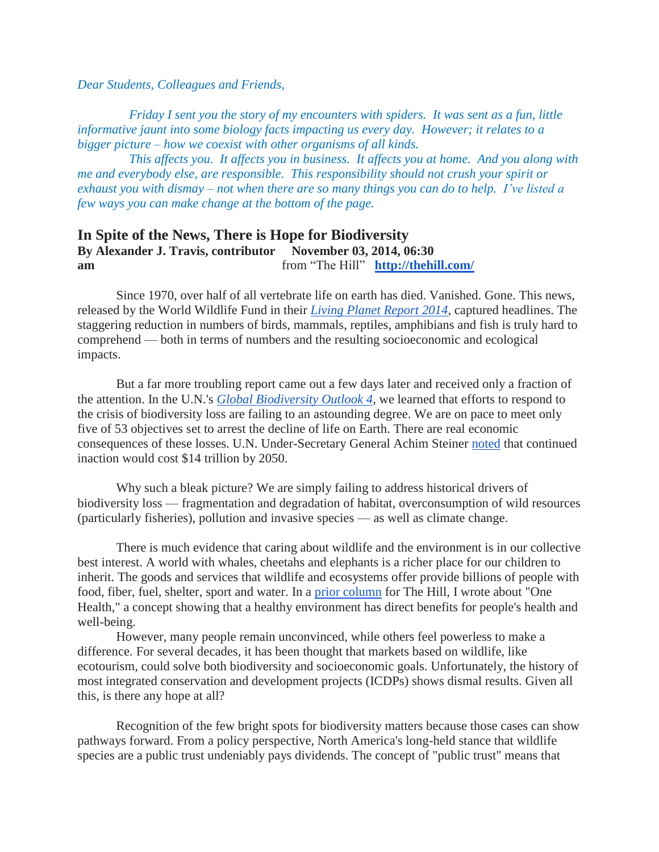*Dear Students, Colleagues and Friends,*

 *Friday I sent you the story of my encounters with spiders. It was sent as a fun, little informative jaunt into some biology facts impacting us every day. However; it relates to a bigger picture – how we coexist with other organisms of all kinds.*

 *This affects you. It affects you in business. It affects you at home. And you along with me and everybody else, are responsible. This responsibility should not crush your spirit or exhaust you with dismay – not when there are so many things you can do to help. I've listed a few ways you can make change at the bottom of the page.*

## **In Spite of the News, There is Hope for Biodiversity By Alexander J. Travis, contributor November 03, 2014, 06:30 am** from "The Hill" **<http://thehill.com/>**

Since 1970, over half of all vertebrate life on earth has died. Vanished. Gone. This news, released by the World Wildlife Fund in their *[Living Planet Report 2014](http://wwf.panda.org/about_our_earth/all_publications/living_planet_report/)*, captured headlines. The staggering reduction in numbers of birds, mammals, reptiles, amphibians and fish is truly hard to comprehend — both in terms of numbers and the resulting socioeconomic and ecological impacts.

But a far more troubling report came out a few days later and received only a fraction of the attention. In the U.N.'s *[Global Biodiversity Outlook 4](http://www.cbd.int/gbo4/)*, we learned that efforts to respond to the crisis of biodiversity loss are failing to an astounding degree. We are on pace to meet only five of 53 objectives set to arrest the decline of life on Earth. There are real economic consequences of these losses. U.N. Under-Secretary General Achim Steiner [noted](http://www.cbd.int/doc/press/2014/pr-2014-10-17-cop-12-en.pdf) that continued inaction would cost \$14 trillion by 2050.

Why such a bleak picture? We are simply failing to address historical drivers of biodiversity loss — fragmentation and degradation of habitat, overconsumption of wild resources (particularly fisheries), pollution and invasive species — as well as climate change.

There is much evidence that caring about wildlife and the environment is in our collective best interest. A world with whales, cheetahs and elephants is a richer place for our children to inherit. The goods and services that wildlife and ecosystems offer provide billions of people with food, fiber, fuel, shelter, sport and water. In a [prior column](http://thehill.com/blogs/pundits-blog/energy-environment/216020-the-one-health-case-for-environmental-policy-action) for The Hill, I wrote about "One Health," a concept showing that a healthy environment has direct benefits for people's health and well-being.

However, many people remain unconvinced, while others feel powerless to make a difference. For several decades, it has been thought that markets based on wildlife, like ecotourism, could solve both biodiversity and socioeconomic goals. Unfortunately, the history of most integrated conservation and development projects (ICDPs) shows dismal results. Given all this, is there any hope at all?

Recognition of the few bright spots for biodiversity matters because those cases can show pathways forward. From a policy perspective, North America's long-held stance that wildlife species are a public trust undeniably pays dividends. The concept of "public trust" means that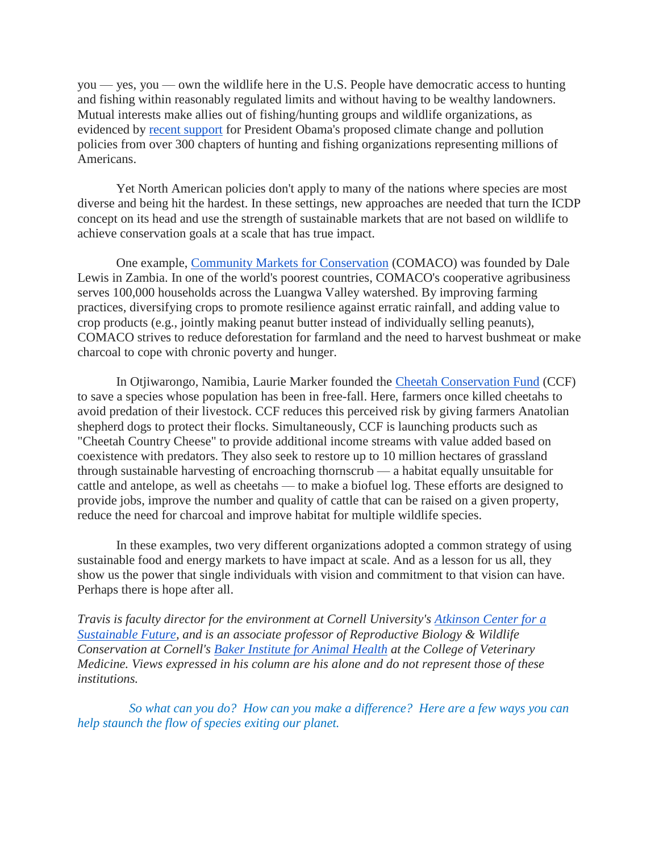you — yes, you — own the wildlife here in the U.S. People have democratic access to hunting and fishing within reasonably regulated limits and without having to be wealthy landowners. Mutual interests make allies out of fishing/hunting groups and wildlife organizations, as evidenced by [recent support](http://thehill.com/policy/energy-environment/220273-325-sporting-groups-back-obamas-climate-rule) for President Obama's proposed climate change and pollution policies from over 300 chapters of hunting and fishing organizations representing millions of Americans.

Yet North American policies don't apply to many of the nations where species are most diverse and being hit the hardest. In these settings, new approaches are needed that turn the ICDP concept on its head and use the strength of sustainable markets that are not based on wildlife to achieve conservation goals at a scale that has true impact.

One example, [Community Markets for Conservation](http://www.itswild.org/) (COMACO) was founded by Dale Lewis in Zambia. In one of the world's poorest countries, COMACO's cooperative agribusiness serves 100,000 households across the Luangwa Valley watershed. By improving farming practices, diversifying crops to promote resilience against erratic rainfall, and adding value to crop products (e.g., jointly making peanut butter instead of individually selling peanuts), COMACO strives to reduce deforestation for farmland and the need to harvest bushmeat or make charcoal to cope with chronic poverty and hunger.

In Otjiwarongo, Namibia, Laurie Marker founded the [Cheetah Conservation Fund](http://cheetah.org/) (CCF) to save a species whose population has been in free-fall. Here, farmers once killed cheetahs to avoid predation of their livestock. CCF reduces this perceived risk by giving farmers Anatolian shepherd dogs to protect their flocks. Simultaneously, CCF is launching products such as "Cheetah Country Cheese" to provide additional income streams with value added based on coexistence with predators. They also seek to restore up to 10 million hectares of grassland through sustainable harvesting of encroaching thornscrub — a habitat equally unsuitable for cattle and antelope, as well as cheetahs — to make a biofuel log. These efforts are designed to provide jobs, improve the number and quality of cattle that can be raised on a given property, reduce the need for charcoal and improve habitat for multiple wildlife species.

In these examples, two very different organizations adopted a common strategy of using sustainable food and energy markets to have impact at scale. And as a lesson for us all, they show us the power that single individuals with vision and commitment to that vision can have. Perhaps there is hope after all.

*Travis is faculty director for the environment at Cornell University's [Atkinson Center for a](http://www.acsf.cornell.edu/index.php)  [Sustainable Future,](http://www.acsf.cornell.edu/index.php) and is an associate professor of Reproductive Biology & Wildlife Conservation at Cornell's [Baker Institute for Animal Health](http://www.vet.cornell.edu/baker/) at the College of Veterinary Medicine. Views expressed in his column are his alone and do not represent those of these institutions.*

 *So what can you do? How can you make a difference? Here are a few ways you can help staunch the flow of species exiting our planet.*